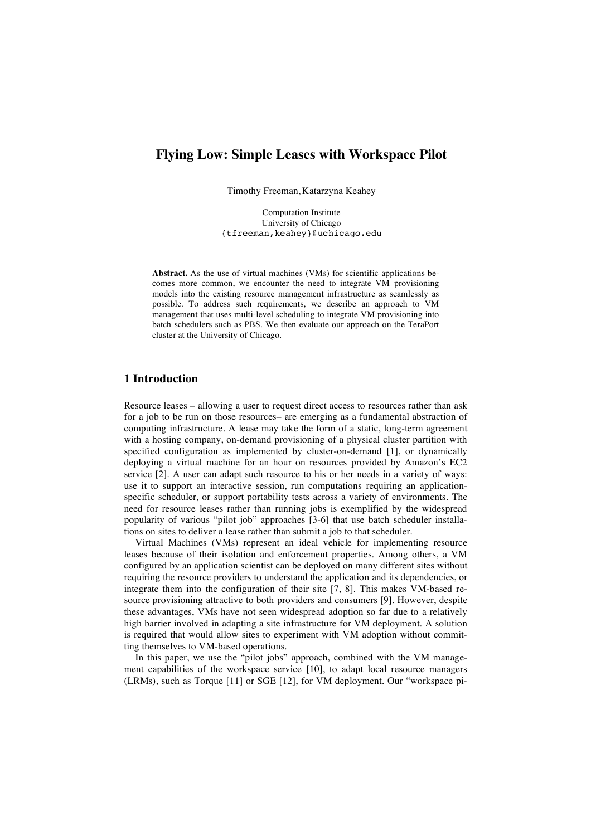# **Flying Low: Simple Leases with Workspace Pilot**

Timothy Freeman, Katarzyna Keahey

Computation Institute University of Chicago {tfreeman,keahey}@uchicago.edu

**Abstract.** As the use of virtual machines (VMs) for scientific applications becomes more common, we encounter the need to integrate VM provisioning models into the existing resource management infrastructure as seamlessly as possible. To address such requirements, we describe an approach to VM management that uses multi-level scheduling to integrate VM provisioning into batch schedulers such as PBS. We then evaluate our approach on the TeraPort cluster at the University of Chicago.

# **1 Introduction**

Resource leases – allowing a user to request direct access to resources rather than ask for a job to be run on those resources– are emerging as a fundamental abstraction of computing infrastructure. A lease may take the form of a static, long-term agreement with a hosting company, on-demand provisioning of a physical cluster partition with specified configuration as implemented by cluster-on-demand [1], or dynamically deploying a virtual machine for an hour on resources provided by Amazon's EC2 service [2]. A user can adapt such resource to his or her needs in a variety of ways: use it to support an interactive session, run computations requiring an applicationspecific scheduler, or support portability tests across a variety of environments. The need for resource leases rather than running jobs is exemplified by the widespread popularity of various "pilot job" approaches [3-6] that use batch scheduler installations on sites to deliver a lease rather than submit a job to that scheduler.

Virtual Machines (VMs) represent an ideal vehicle for implementing resource leases because of their isolation and enforcement properties. Among others, a VM configured by an application scientist can be deployed on many different sites without requiring the resource providers to understand the application and its dependencies, or integrate them into the configuration of their site [7, 8]. This makes VM-based resource provisioning attractive to both providers and consumers [9]. However, despite these advantages, VMs have not seen widespread adoption so far due to a relatively high barrier involved in adapting a site infrastructure for VM deployment. A solution is required that would allow sites to experiment with VM adoption without committing themselves to VM-based operations.

In this paper, we use the "pilot jobs" approach, combined with the VM management capabilities of the workspace service [10], to adapt local resource managers (LRMs), such as Torque [11] or SGE [12], for VM deployment. Our "workspace pi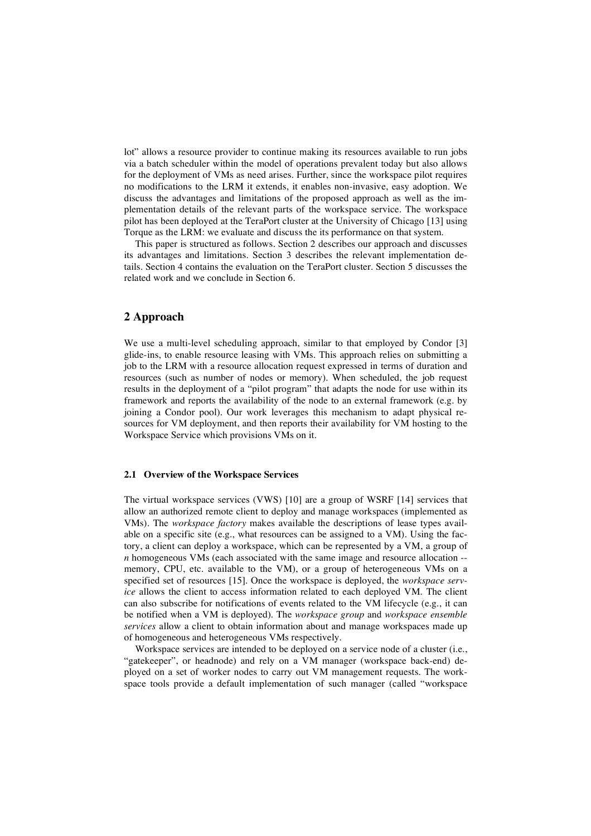lot" allows a resource provider to continue making its resources available to run jobs via a batch scheduler within the model of operations prevalent today but also allows for the deployment of VMs as need arises. Further, since the workspace pilot requires no modifications to the LRM it extends, it enables non-invasive, easy adoption. We discuss the advantages and limitations of the proposed approach as well as the implementation details of the relevant parts of the workspace service. The workspace pilot has been deployed at the TeraPort cluster at the University of Chicago [13] using Torque as the LRM: we evaluate and discuss the its performance on that system.

This paper is structured as follows. Section 2 describes our approach and discusses its advantages and limitations. Section 3 describes the relevant implementation details. Section 4 contains the evaluation on the TeraPort cluster. Section 5 discusses the related work and we conclude in Section 6.

### **2 Approach**

We use a multi-level scheduling approach, similar to that employed by Condor [3] glide-ins, to enable resource leasing with VMs. This approach relies on submitting a job to the LRM with a resource allocation request expressed in terms of duration and resources (such as number of nodes or memory). When scheduled, the job request results in the deployment of a "pilot program" that adapts the node for use within its framework and reports the availability of the node to an external framework (e.g. by joining a Condor pool). Our work leverages this mechanism to adapt physical resources for VM deployment, and then reports their availability for VM hosting to the Workspace Service which provisions VMs on it.

#### **2.1 Overview of the Workspace Services**

The virtual workspace services (VWS) [10] are a group of WSRF [14] services that allow an authorized remote client to deploy and manage workspaces (implemented as VMs). The *workspace factory* makes available the descriptions of lease types available on a specific site (e.g., what resources can be assigned to a VM). Using the factory, a client can deploy a workspace, which can be represented by a VM, a group of *n* homogeneous VMs (each associated with the same image and resource allocation - memory, CPU, etc. available to the VM), or a group of heterogeneous VMs on a specified set of resources [15]. Once the workspace is deployed, the *workspace service* allows the client to access information related to each deployed VM. The client can also subscribe for notifications of events related to the VM lifecycle (e.g., it can be notified when a VM is deployed). The *workspace group* and *workspace ensemble services* allow a client to obtain information about and manage workspaces made up of homogeneous and heterogeneous VMs respectively.

Workspace services are intended to be deployed on a service node of a cluster (i.e., "gatekeeper", or headnode) and rely on a VM manager (workspace back-end) deployed on a set of worker nodes to carry out VM management requests. The workspace tools provide a default implementation of such manager (called "workspace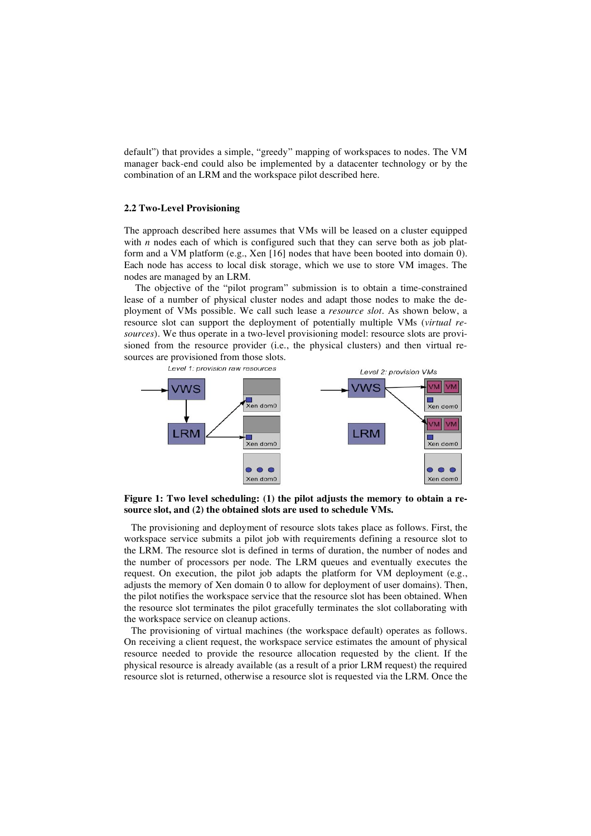default") that provides a simple, "greedy" mapping of workspaces to nodes. The VM manager back-end could also be implemented by a datacenter technology or by the combination of an LRM and the workspace pilot described here.

#### **2.2 Two-Level Provisioning**

The approach described here assumes that VMs will be leased on a cluster equipped with *n* nodes each of which is configured such that they can serve both as job platform and a VM platform (e.g., Xen [16] nodes that have been booted into domain 0). Each node has access to local disk storage, which we use to store VM images. The nodes are managed by an LRM.

The objective of the "pilot program" submission is to obtain a time-constrained lease of a number of physical cluster nodes and adapt those nodes to make the deployment of VMs possible. We call such lease a *resource slot*. As shown below, a resource slot can support the deployment of potentially multiple VMs (*virtual resources*). We thus operate in a two-level provisioning model: resource slots are provisioned from the resource provider (i.e., the physical clusters) and then virtual resources are provisioned from those slots.



**Figure 1: Two level scheduling: (1) the pilot adjusts the memory to obtain a resource slot, and (2) the obtained slots are used to schedule VMs.**

The provisioning and deployment of resource slots takes place as follows. First, the workspace service submits a pilot job with requirements defining a resource slot to the LRM. The resource slot is defined in terms of duration, the number of nodes and the number of processors per node. The LRM queues and eventually executes the request. On execution, the pilot job adapts the platform for VM deployment (e.g., adjusts the memory of Xen domain 0 to allow for deployment of user domains). Then, the pilot notifies the workspace service that the resource slot has been obtained. When the resource slot terminates the pilot gracefully terminates the slot collaborating with the workspace service on cleanup actions.

The provisioning of virtual machines (the workspace default) operates as follows. On receiving a client request, the workspace service estimates the amount of physical resource needed to provide the resource allocation requested by the client. If the physical resource is already available (as a result of a prior LRM request) the required resource slot is returned, otherwise a resource slot is requested via the LRM. Once the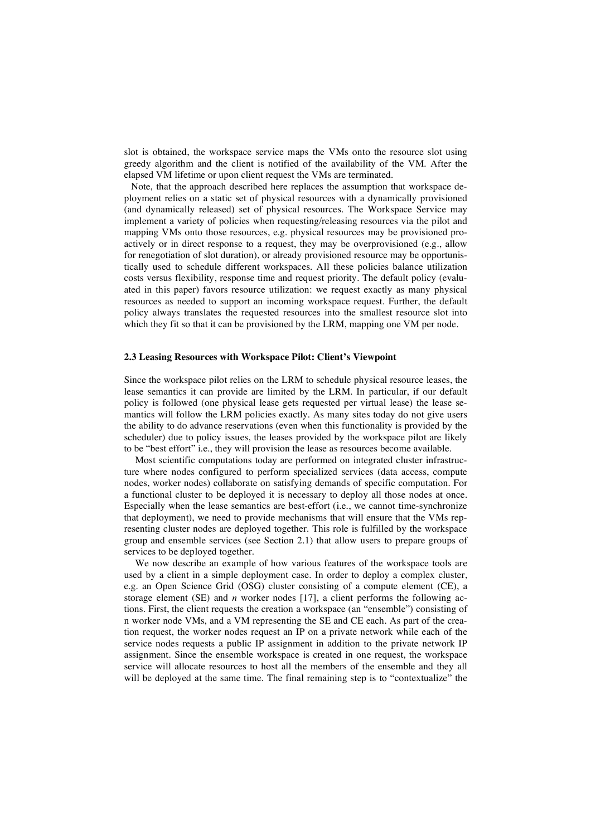slot is obtained, the workspace service maps the VMs onto the resource slot using greedy algorithm and the client is notified of the availability of the VM. After the elapsed VM lifetime or upon client request the VMs are terminated.

Note, that the approach described here replaces the assumption that workspace deployment relies on a static set of physical resources with a dynamically provisioned (and dynamically released) set of physical resources. The Workspace Service may implement a variety of policies when requesting/releasing resources via the pilot and mapping VMs onto those resources, e.g. physical resources may be provisioned proactively or in direct response to a request, they may be overprovisioned (e.g., allow for renegotiation of slot duration), or already provisioned resource may be opportunistically used to schedule different workspaces. All these policies balance utilization costs versus flexibility, response time and request priority. The default policy (evaluated in this paper) favors resource utilization: we request exactly as many physical resources as needed to support an incoming workspace request. Further, the default policy always translates the requested resources into the smallest resource slot into which they fit so that it can be provisioned by the LRM, mapping one VM per node.

#### **2.3 Leasing Resources with Workspace Pilot: Client's Viewpoint**

Since the workspace pilot relies on the LRM to schedule physical resource leases, the lease semantics it can provide are limited by the LRM. In particular, if our default policy is followed (one physical lease gets requested per virtual lease) the lease semantics will follow the LRM policies exactly. As many sites today do not give users the ability to do advance reservations (even when this functionality is provided by the scheduler) due to policy issues, the leases provided by the workspace pilot are likely to be "best effort" i.e., they will provision the lease as resources become available.

Most scientific computations today are performed on integrated cluster infrastructure where nodes configured to perform specialized services (data access, compute nodes, worker nodes) collaborate on satisfying demands of specific computation. For a functional cluster to be deployed it is necessary to deploy all those nodes at once. Especially when the lease semantics are best-effort (i.e., we cannot time-synchronize that deployment), we need to provide mechanisms that will ensure that the VMs representing cluster nodes are deployed together. This role is fulfilled by the workspace group and ensemble services (see Section 2.1) that allow users to prepare groups of services to be deployed together.

We now describe an example of how various features of the workspace tools are used by a client in a simple deployment case. In order to deploy a complex cluster, e.g. an Open Science Grid (OSG) cluster consisting of a compute element (CE), a storage element (SE) and *n* worker nodes [17], a client performs the following actions. First, the client requests the creation a workspace (an "ensemble") consisting of n worker node VMs, and a VM representing the SE and CE each. As part of the creation request, the worker nodes request an IP on a private network while each of the service nodes requests a public IP assignment in addition to the private network IP assignment. Since the ensemble workspace is created in one request, the workspace service will allocate resources to host all the members of the ensemble and they all will be deployed at the same time. The final remaining step is to "contextualize" the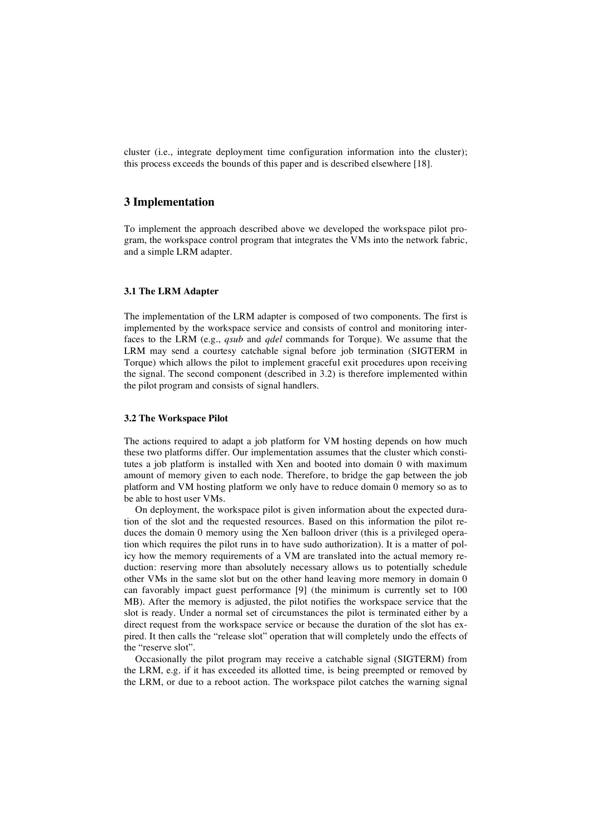cluster (i.e., integrate deployment time configuration information into the cluster); this process exceeds the bounds of this paper and is described elsewhere [18].

### **3 Implementation**

To implement the approach described above we developed the workspace pilot program, the workspace control program that integrates the VMs into the network fabric, and a simple LRM adapter.

#### **3.1 The LRM Adapter**

The implementation of the LRM adapter is composed of two components. The first is implemented by the workspace service and consists of control and monitoring interfaces to the LRM (e.g., *qsub* and *qdel* commands for Torque). We assume that the LRM may send a courtesy catchable signal before job termination (SIGTERM in Torque) which allows the pilot to implement graceful exit procedures upon receiving the signal. The second component (described in 3.2) is therefore implemented within the pilot program and consists of signal handlers.

### **3.2 The Workspace Pilot**

The actions required to adapt a job platform for VM hosting depends on how much these two platforms differ. Our implementation assumes that the cluster which constitutes a job platform is installed with Xen and booted into domain 0 with maximum amount of memory given to each node. Therefore, to bridge the gap between the job platform and VM hosting platform we only have to reduce domain 0 memory so as to be able to host user VMs.

On deployment, the workspace pilot is given information about the expected duration of the slot and the requested resources. Based on this information the pilot reduces the domain 0 memory using the Xen balloon driver (this is a privileged operation which requires the pilot runs in to have sudo authorization). It is a matter of policy how the memory requirements of a VM are translated into the actual memory reduction: reserving more than absolutely necessary allows us to potentially schedule other VMs in the same slot but on the other hand leaving more memory in domain 0 can favorably impact guest performance [9] (the minimum is currently set to 100 MB). After the memory is adjusted, the pilot notifies the workspace service that the slot is ready. Under a normal set of circumstances the pilot is terminated either by a direct request from the workspace service or because the duration of the slot has expired. It then calls the "release slot" operation that will completely undo the effects of the "reserve slot".

Occasionally the pilot program may receive a catchable signal (SIGTERM) from the LRM, e.g. if it has exceeded its allotted time, is being preempted or removed by the LRM, or due to a reboot action. The workspace pilot catches the warning signal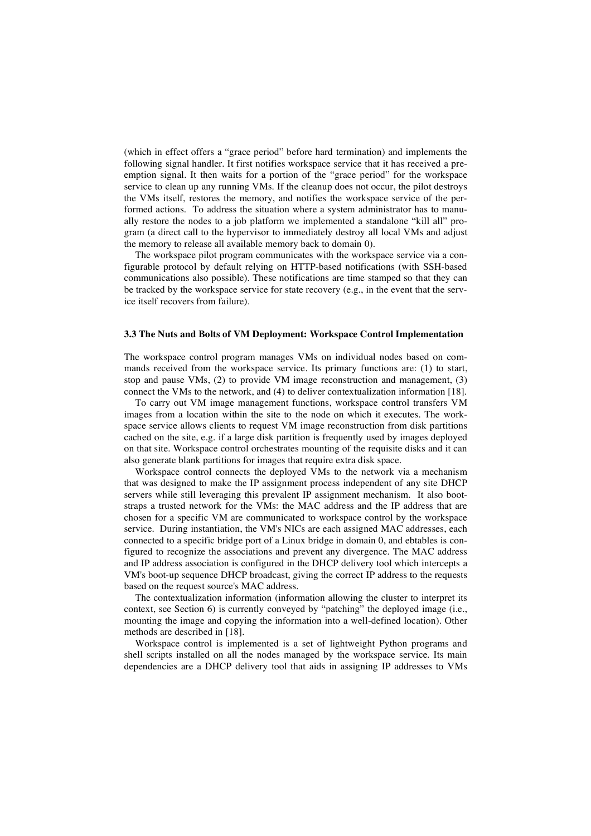(which in effect offers a "grace period" before hard termination) and implements the following signal handler. It first notifies workspace service that it has received a preemption signal. It then waits for a portion of the "grace period" for the workspace service to clean up any running VMs. If the cleanup does not occur, the pilot destroys the VMs itself, restores the memory, and notifies the workspace service of the performed actions. To address the situation where a system administrator has to manually restore the nodes to a job platform we implemented a standalone "kill all" program (a direct call to the hypervisor to immediately destroy all local VMs and adjust the memory to release all available memory back to domain 0).

The workspace pilot program communicates with the workspace service via a configurable protocol by default relying on HTTP-based notifications (with SSH-based communications also possible). These notifications are time stamped so that they can be tracked by the workspace service for state recovery (e.g., in the event that the service itself recovers from failure).

#### **3.3 The Nuts and Bolts of VM Deployment: Workspace Control Implementation**

The workspace control program manages VMs on individual nodes based on commands received from the workspace service. Its primary functions are: (1) to start, stop and pause VMs, (2) to provide VM image reconstruction and management, (3) connect the VMs to the network, and (4) to deliver contextualization information [18].

To carry out VM image management functions, workspace control transfers VM images from a location within the site to the node on which it executes. The workspace service allows clients to request VM image reconstruction from disk partitions cached on the site, e.g. if a large disk partition is frequently used by images deployed on that site. Workspace control orchestrates mounting of the requisite disks and it can also generate blank partitions for images that require extra disk space.

Workspace control connects the deployed VMs to the network via a mechanism that was designed to make the IP assignment process independent of any site DHCP servers while still leveraging this prevalent IP assignment mechanism. It also bootstraps a trusted network for the VMs: the MAC address and the IP address that are chosen for a specific VM are communicated to workspace control by the workspace service. During instantiation, the VM's NICs are each assigned MAC addresses, each connected to a specific bridge port of a Linux bridge in domain 0, and ebtables is configured to recognize the associations and prevent any divergence. The MAC address and IP address association is configured in the DHCP delivery tool which intercepts a VM's boot-up sequence DHCP broadcast, giving the correct IP address to the requests based on the request source's MAC address.

The contextualization information (information allowing the cluster to interpret its context, see Section 6) is currently conveyed by "patching" the deployed image (i.e., mounting the image and copying the information into a well-defined location). Other methods are described in [18].

Workspace control is implemented is a set of lightweight Python programs and shell scripts installed on all the nodes managed by the workspace service. Its main dependencies are a DHCP delivery tool that aids in assigning IP addresses to VMs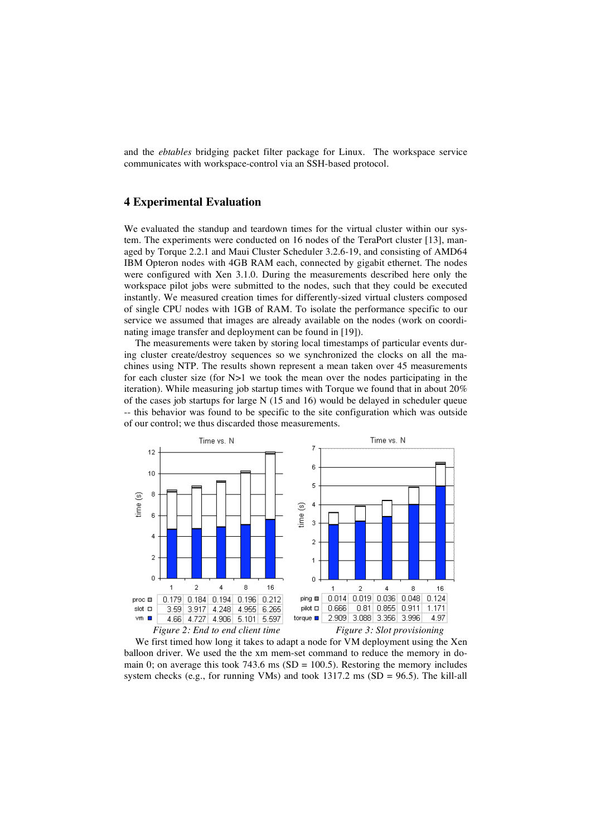and the *ebtables* bridging packet filter package for Linux. The workspace service communicates with workspace-control via an SSH-based protocol.

### **4 Experimental Evaluation**

We evaluated the standup and teardown times for the virtual cluster within our system. The experiments were conducted on 16 nodes of the TeraPort cluster [13], managed by Torque 2.2.1 and Maui Cluster Scheduler 3.2.6-19, and consisting of AMD64 IBM Opteron nodes with 4GB RAM each, connected by gigabit ethernet. The nodes were configured with Xen 3.1.0. During the measurements described here only the workspace pilot jobs were submitted to the nodes, such that they could be executed instantly. We measured creation times for differently-sized virtual clusters composed of single CPU nodes with 1GB of RAM. To isolate the performance specific to our service we assumed that images are already available on the nodes (work on coordinating image transfer and deployment can be found in [19]).

The measurements were taken by storing local timestamps of particular events during cluster create/destroy sequences so we synchronized the clocks on all the machines using NTP. The results shown represent a mean taken over 45 measurements for each cluster size (for  $N>1$  we took the mean over the nodes participating in the iteration). While measuring job startup times with Torque we found that in about 20% of the cases job startups for large N (15 and 16) would be delayed in scheduler queue -- this behavior was found to be specific to the site configuration which was outside of our control; we thus discarded those measurements.



We first timed how long it takes to adapt a node for VM deployment using the Xen balloon driver. We used the the xm mem-set command to reduce the memory in domain 0; on average this took 743.6 ms (SD = 100.5). Restoring the memory includes system checks (e.g., for running VMs) and took  $1317.2 \text{ ms (SD} = 96.5)$ . The kill-all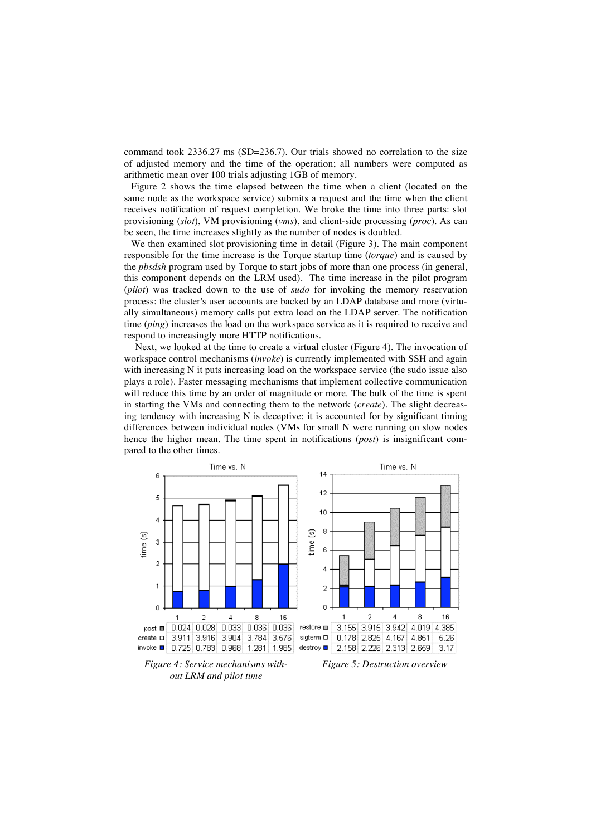command took 2336.27 ms (SD=236.7). Our trials showed no correlation to the size of adjusted memory and the time of the operation; all numbers were computed as arithmetic mean over 100 trials adjusting 1GB of memory.

Figure 2 shows the time elapsed between the time when a client (located on the same node as the workspace service) submits a request and the time when the client receives notification of request completion. We broke the time into three parts: slot provisioning (*slot*), VM provisioning (*vms*), and client-side processing (*proc*). As can be seen, the time increases slightly as the number of nodes is doubled.

We then examined slot provisioning time in detail (Figure 3). The main component responsible for the time increase is the Torque startup time (*torque*) and is caused by the *pbsdsh* program used by Torque to start jobs of more than one process (in general, this component depends on the LRM used). The time increase in the pilot program (*pilot*) was tracked down to the use of *sudo* for invoking the memory reservation process: the cluster's user accounts are backed by an LDAP database and more (virtually simultaneous) memory calls put extra load on the LDAP server. The notification time (*ping*) increases the load on the workspace service as it is required to receive and respond to increasingly more HTTP notifications.

Next, we looked at the time to create a virtual cluster (Figure 4). The invocation of workspace control mechanisms (*invoke*) is currently implemented with SSH and again with increasing N it puts increasing load on the workspace service (the sudo issue also plays a role). Faster messaging mechanisms that implement collective communication will reduce this time by an order of magnitude or more. The bulk of the time is spent in starting the VMs and connecting them to the network (*create*). The slight decreasing tendency with increasing N is deceptive: it is accounted for by significant timing differences between individual nodes (VMs for small N were running on slow nodes hence the higher mean. The time spent in notifications (*post*) is insignificant compared to the other times.



*Figure 4: Service mechanisms without LRM and pilot time*

*Figure 5: Destruction overview*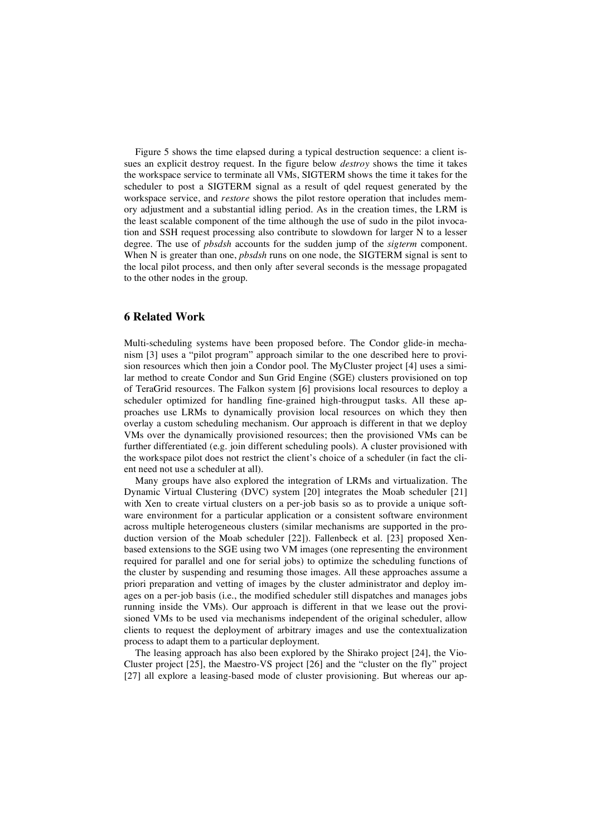Figure 5 shows the time elapsed during a typical destruction sequence: a client issues an explicit destroy request. In the figure below *destroy* shows the time it takes the workspace service to terminate all VMs, SIGTERM shows the time it takes for the scheduler to post a SIGTERM signal as a result of qdel request generated by the workspace service, and *restore* shows the pilot restore operation that includes memory adjustment and a substantial idling period. As in the creation times, the LRM is the least scalable component of the time although the use of sudo in the pilot invocation and SSH request processing also contribute to slowdown for larger N to a lesser degree. The use of *pbsdsh* accounts for the sudden jump of the *sigterm* component. When N is greater than one, *pbsdsh* runs on one node, the SIGTERM signal is sent to the local pilot process, and then only after several seconds is the message propagated to the other nodes in the group.

### **6 Related Work**

Multi-scheduling systems have been proposed before. The Condor glide-in mechanism [3] uses a "pilot program" approach similar to the one described here to provision resources which then join a Condor pool. The MyCluster project [4] uses a similar method to create Condor and Sun Grid Engine (SGE) clusters provisioned on top of TeraGrid resources. The Falkon system [6] provisions local resources to deploy a scheduler optimized for handling fine-grained high-througput tasks. All these approaches use LRMs to dynamically provision local resources on which they then overlay a custom scheduling mechanism. Our approach is different in that we deploy VMs over the dynamically provisioned resources; then the provisioned VMs can be further differentiated (e.g. join different scheduling pools). A cluster provisioned with the workspace pilot does not restrict the client's choice of a scheduler (in fact the client need not use a scheduler at all).

Many groups have also explored the integration of LRMs and virtualization. The Dynamic Virtual Clustering (DVC) system [20] integrates the Moab scheduler [21] with Xen to create virtual clusters on a per-job basis so as to provide a unique software environment for a particular application or a consistent software environment across multiple heterogeneous clusters (similar mechanisms are supported in the production version of the Moab scheduler [22]). Fallenbeck et al. [23] proposed Xenbased extensions to the SGE using two VM images (one representing the environment required for parallel and one for serial jobs) to optimize the scheduling functions of the cluster by suspending and resuming those images. All these approaches assume a priori preparation and vetting of images by the cluster administrator and deploy images on a per-job basis (i.e., the modified scheduler still dispatches and manages jobs running inside the VMs). Our approach is different in that we lease out the provisioned VMs to be used via mechanisms independent of the original scheduler, allow clients to request the deployment of arbitrary images and use the contextualization process to adapt them to a particular deployment.

The leasing approach has also been explored by the Shirako project [24], the Vio-Cluster project [25], the Maestro-VS project [26] and the "cluster on the fly" project [27] all explore a leasing-based mode of cluster provisioning. But whereas our ap-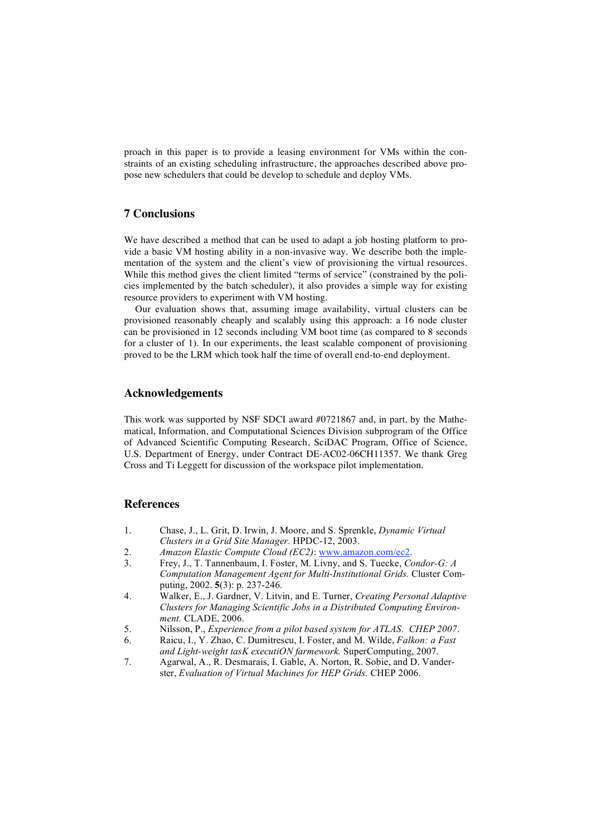proach in this paper is to provide a leasing environment for VMs within the constraints of an existing scheduling infrastructure, the approaches described above propose new schedulers that could be develop to schedule and deploy VMs.

# **7 Conclusions**

We have described a method that can be used to adapt a job hosting platform to provide a basic VM hosting ability in a non-invasive way. We describe both the implementation of the system and the client's view of provisioning the virtual resources. While this method gives the client limited "terms of service" (constrained by the policies implemented by the batch scheduler), it also provides a simple way for existing resource providers to experiment with VM hosting.

Our evaluation shows that, assuming image availability, virtual clusters can be provisioned reasonably cheaply and scalably using this approach: a 16 node cluster can be provisioned in 12 seconds including VM boot time (as compared to 8 seconds for a cluster of 1). In our experiments, the least scalable component of provisioning proved to be the LRM which took half the time of overall end-to-end deployment.

#### **Acknowledgements**

This work was supported by NSF SDCI award #0721867 and, in part, by the Mathematical, Information, and Computational Sciences Division subprogram of the Office of Advanced Scientific Computing Research, SciDAC Program, Office of Science, U.S. Department of Energy, under Contract DE-AC02-06CH11357. We thank Greg Cross and Ti Leggett for discussion of the workspace pilot implementation.

### **References**

- 1. Chase, J., L. Grit, D. Irwin, J. Moore, and S. Sprenkle, *Dynamic Virtual Clusters in a Grid Site Manager.* HPDC-12, 2003.
- 2. *Amazon Elastic Compute Cloud (EC2)*: www.amazon.com/ec2.
- 3. Frey, J., T. Tannenbaum, I. Foster, M. Livny, and S. Tuecke, *Condor-G: A Computation Management Agent for Multi-Institutional Grids.* Cluster Computing, 2002. **5**(3): p. 237-246.
- 4. Walker, E., J. Gardner, V. Litvin, and E. Turner, *Creating Personal Adaptive Clusters for Managing Scientific Jobs in a Distributed Computing Environment.* CLADE, 2006.
- 5. Nilsson, P., *Experience from a pilot based system for ATLAS. CHEP 2007*.
- 6. Raicu, I., Y. Zhao, C. Dumitrescu, I. Foster, and M. Wilde, *Falkon: a Fast and Light-weight tasK executiON farmework.* SuperComputing, 2007.
- 7. Agarwal, A., R. Desmarais, I. Gable, A. Norton, R. Sobie, and D. Vanderster, *Evaluation of Virtual Machines for HEP Grids.* CHEP 2006.